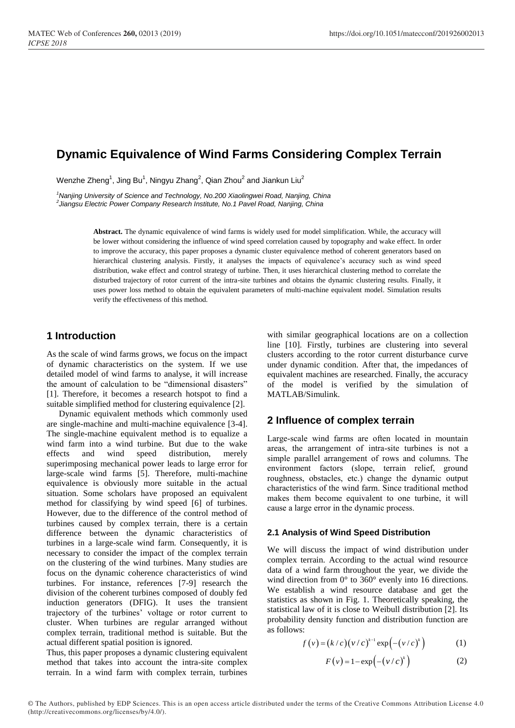## **Dynamic Equivalence of Wind Farms Considering Complex Terrain**

Wenzhe Zheng $^1$ , Jing Bu $^1$ , Ningyu Zhang $^2$ , Qian Zhou $^2$  and Jiankun Liu $^2$ 

*<sup>1</sup>Nanjing University of Science and Technology, No.200 Xiaolingwei Road, Nanjing, China 2 Jiangsu Electric Power Company Research Institute, No.1 Pavel Road, Nanjing, China*

> **Abstract.** The dynamic equivalence of wind farms is widely used for model simplification. While, the accuracy will be lower without considering the influence of wind speed correlation caused by topography and wake effect. In order to improve the accuracy, this paper proposes a dynamic cluster equivalence method of coherent generators based on hierarchical clustering analysis. Firstly, it analyses the impacts of equivalence's accuracy such as wind speed distribution, wake effect and control strategy of turbine. Then, it uses hierarchical clustering method to correlate the disturbed trajectory of rotor current of the intra-site turbines and obtains the dynamic clustering results. Finally, it uses power loss method to obtain the equivalent parameters of multi-machine equivalent model. Simulation results verify the effectiveness of this method.

## **1 Introduction**

As the scale of wind farms grows, we focus on the impact of dynamic characteristics on the system. If we use detailed model of wind farms to analyse, it will increase the amount of calculation to be "dimensional disasters" [1]. Therefore, it becomes a research hotspot to find a suitable simplified method for clustering equivalence [2].

Dynamic equivalent methods which commonly used are single-machine and multi-machine equivalence [3-4]. The single-machine equivalent method is to equalize a wind farm into a wind turbine. But due to the wake effects and wind speed distribution, merely superimposing mechanical power leads to large error for large-scale wind farms [5]. Therefore, multi-machine equivalence is obviously more suitable in the actual situation. Some scholars have proposed an equivalent method for classifying by wind speed [6] of turbines. However, due to the difference of the control method of turbines caused by complex terrain, there is a certain difference between the dynamic characteristics of turbines in a large-scale wind farm. Consequently, it is necessary to consider the impact of the complex terrain on the clustering of the wind turbines. Many studies are focus on the dynamic coherence characteristics of wind turbines. For instance, references [7-9] research the division of the coherent turbines composed of doubly fed induction generators (DFIG). It uses the transient trajectory of the turbines' voltage or rotor current to cluster. When turbines are regular arranged without complex terrain, traditional method is suitable. But the actual different spatial position is ignored.

Thus, this paper proposes a dynamic clustering equivalent method that takes into account the intra-site complex terrain. In a wind farm with complex terrain, turbines

with similar geographical locations are on a collection line [10]. Firstly, turbines are clustering into several clusters according to the rotor current disturbance curve under dynamic condition. After that, the impedances of equivalent machines are researched. Finally, the accuracy of the model is verified by the simulation of MATLAB/Simulink.

## **2 Influence of complex terrain**

Large-scale wind farms are often located in mountain areas, the arrangement of intra-site turbines is not a simple parallel arrangement of rows and columns. The environment factors (slope, terrain relief, ground roughness, obstacles, etc.) change the dynamic output characteristics of the wind farm. Since traditional method makes them become equivalent to one turbine, it will cause a large error in the dynamic process.

#### **2.1 Analysis of Wind Speed Distribution**

We will discuss the impact of wind distribution under complex terrain. According to the actual wind resource data of a wind farm throughout the year, we divide the wind direction from 0° to 360° evenly into 16 directions. We establish a wind resource database and get the statistics as shown in Fig. 1. Theoretically speaking, the statistical law of it is close to Weibull distribution [2]. Its probability density function and distribution function are as follows:

$$
f(v) = (k/c)(v/c)^{k-1} \exp(-(v/c)^{k})
$$
 (1)

$$
F(v) = 1 - \exp(-\left(v/c\right)^{k})
$$
 (2)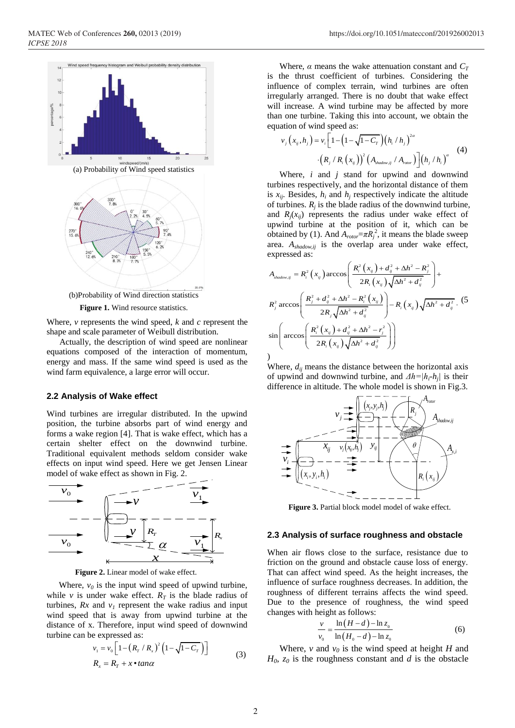

Figure 1. Wind resource statistics.

Where, *v* represents the wind speed, *k* and *c* represent the shape and scale parameter of Weibull distribution.

Actually, the description of wind speed are nonlinear equations composed of the interaction of momentum, energy and mass. If the same wind speed is used as the wind farm equivalence, a large error will occur.

#### **2.2 Analysis of Wake effect**

Wind turbines are irregular distributed. In the upwind position, the turbine absorbs part of wind energy and forms a wake region [4]. That is wake effect, which has a certain shelter effect on the downwind turbine. Traditional equivalent methods seldom consider wake effects on input wind speed. Here we get Jensen Linear model of wake effect as shown in Fig. 2.



**Figure 2.** Linear model of wake effect.

Where,  $v_0$  is the input wind speed of upwind turbine, while *v* is under wake effect.  $R_T$  is the blade radius of turbines,  $Rx$  and  $v<sub>I</sub>$  represent the wake radius and input wind speed that is away from upwind turbine at the distance of x. Therefore, input wind speed of downwind turbine can be expressed as:

$$
v_1 = v_0 \left[ 1 - (R_r / R_x)^2 \left( 1 - \sqrt{1 - C_r} \right) \right]
$$
  
\n
$$
R_x = R_T + x \cdot \tan \alpha
$$
 (3)

Where,  $\alpha$  means the wake attenuation constant and  $C_T$ is the thrust coefficient of turbines. Considering the influence of complex terrain, wind turbines are often irregularly arranged. There is no doubt that wake effect will increase. A wind turbine may be affected by more than one turbine. Taking this into account, we obtain the equation of wind speed as:

$$
v_j(x_{ij}, h_j) = v_i \left[ 1 - \left( 1 - \sqrt{1 - C_T} \right) \left( h_i / h_j \right)^{2\alpha} \cdot \left( R_j / R_i \left( x_{ij} \right) \right)^2 \left( A_{\text{shadow}, ij} / A_{\text{rotor}} \right) \right] \left( h_j / h_i \right)^{\alpha} \tag{4}
$$

Where, *i* and *j* stand for upwind and downwind turbines respectively, and the horizontal distance of them is  $x_{ii}$ . Besides,  $h_i$  and  $h_j$  respectively indicate the altitude of turbines.  $R_j$  is the blade radius of the downwind turbine, and  $R_i(x_{ii})$  represents the radius under wake effect of upwind turbine at the position of it, which can be obtained by (1). And  $A_{rotor} = \pi R_j^2$ , it means the blade sweep area. *Ashadow,ij* is the overlap area under wake effect, expressed as:

upwind turbine at the position of it, which can be obtained by (1). And 
$$
A_{rotor} = \pi R_j^2
$$
, it means the blade sweep area.  $A_{shadow,ij}$  is the overlap area under wake effect, expressed as:  
\n
$$
A_{shadow,ij} = R_i^2(x_{ij}) \arccos\left(\frac{R_i^2(x_{ij}) + d_j^2 + \Delta h^2 - R_j^2}{2R_i(x_{ij})\sqrt{\Delta h^2 + d_j^2}}\right) + R_j^2 \arccos\left(\frac{R_j^2 + d_j^2 + \Delta h^2 - R_i^2(x_{ij})}{2R_j\sqrt{\Delta h^2 + d_j^2}}\right) - R_i(x_{ij})\sqrt{\Delta h^2 + d_j^2}
$$
 (5  
\n
$$
\sin\left(\arccos\left(\frac{R_i^2(x_{ij}) + d_j^2 + \Delta h^2 - r_j^2}{2R_i(x_{ij})\sqrt{\Delta h^2 + d_j^2}}\right)\right)
$$
\nWhere,  $d_{ij}$  means the distance between the horizontal axis of upwind and downward turbine, and  $\Delta h = |h_i - h_j|$  is their difference in altitude. The whole model is shown in Fig.3.  
\n
$$
\frac{1}{\sqrt{1 - \frac{1}{\sqrt{1 - \frac{1}{\sqrt{1 - \frac{1}{\sqrt{1 - \frac{1}{\sqrt{1 - \frac{1}{\sqrt{1 - \frac{1}{\sqrt{1 - \frac{1}{\sqrt{1 - \frac{1}{\sqrt{1 - \frac{1}{\sqrt{1 - \frac{1}{\sqrt{1 - \frac{1}{\sqrt{1 - \frac{1}{\sqrt{1 - \frac{1}{\sqrt{1 - \frac{1}{\sqrt{1 - \frac{1}{\sqrt{1 - \frac{1}{\sqrt{1 - \frac{1}{\sqrt{1 - \frac{1}{\sqrt{1 - \frac{1}{\sqrt{1 - \frac{1}{\sqrt{1 - \frac{1}{\sqrt{1 - \frac{1}{\sqrt{1 - \frac{1}{\sqrt{1 - \frac{1}{\sqrt{1 - \frac{1}{\sqrt{1 - \frac{1}{\sqrt{1 - \frac{1}{\sqrt{1 - \frac{1}{\sqrt{1 - \frac{1}{\sqrt{1 - \frac{1}{\sqrt{1 - \frac{1}{\sqrt{1 - \frac{1}{\sqrt{1 - \frac{1}{\sqrt{1 - \frac{1}{\sqrt{1 - \frac{1}{\sqrt{1 - \frac{1}{\sqrt{1 - \frac{1}{\sqrt{1 - \frac{1}{\sqrt{1 - \frac{1}{\sqrt{1 -
$$

Where,  $d_{ij}$  means the distance between the horizontal axis of upwind and downwind turbine, and  $\Delta h = |h_i \cdot h_j|$  is their difference in altitude. The whole model is shown in Fig.3.



**Figure 3.** Partial block model model of wake effect.

# $\alpha$  **2.3 Analysis of surface roughness and obstacle**  $\alpha$

 $\overline{x}$   $\overline{x}$   $\overline{x}$   $\overline{x}$  When air flows close to the surface, resistance due to friction on the ground and obstacle cause loss of energy friction on the ground and obstacle cause loss of energy. That can affect wind speed. As the height increases, the influence of surface roughness decreases. In addition, the roughness of different terrains affects the wind speed. Due to the presence of roughness, the wind speed changes with height as follows:

$$
\frac{v}{v_0} = \frac{\ln\left(H - d\right) - \ln z_0}{\ln\left(H_0 - d\right) - \ln z_0} \tag{6}
$$

Where,  $\nu$  and  $\nu$ <sup>0</sup> is the wind speed at height *H* and  $H_0$ ,  $z_0$  is the roughness constant and *d* is the obstacle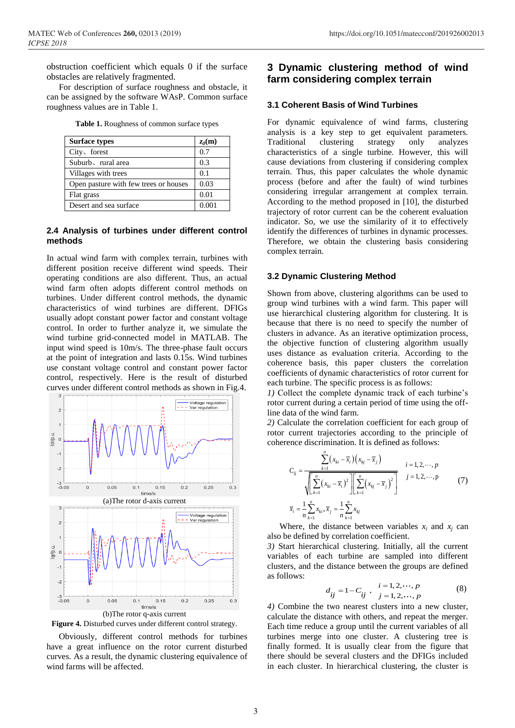obstruction coefficient which equals 0 if the surface obstacles are relatively fragmented.

For description of surface roughness and obstacle, it can be assigned by the software WAsP. Common surface roughness values are in Table 1.

**Table 1.** Roughness of common surface types

| <b>Surface types</b>                  | $z_0(\mathbf{m})$ |
|---------------------------------------|-------------------|
| $City\cdot$ forest                    | 0.7               |
| Suburb, rural area                    | 0.3               |
| Villages with trees                   | 0.1               |
| Open pasture with few trees or houses | 0.03              |
| Flat grass                            | 0.01              |
| Desert and sea surface                |                   |

#### **2.4 Analysis of turbines under different control methods**

In actual wind farm with complex terrain, turbines with different position receive different wind speeds. Their operating conditions are also different. Thus, an actual wind farm often adopts different control methods on turbines. Under different control methods, the dynamic characteristics of wind turbines are different. DFIGs usually adopt constant power factor and constant voltage control. In order to further analyze it, we simulate the wind turbine grid-connected model in MATLAB. The input wind speed is 10m/s. The three-phase fault occurs at the point of integration and lasts 0.15s. Wind turbines use constant voltage control and constant power factor control, respectively. Here is the result of disturbed curves under different control methods as shown in Fig.4.



**Figure 4.** Disturbed curves under different control strategy.

Obviously, different control methods for turbines have a great influence on the rotor current disturbed curves. As a result, the dynamic clustering equivalence of wind farms will be affected.

## **3 Dynamic clustering method of wind farm considering complex terrain**

#### **3.1 Coherent Basis of Wind Turbines**

For dynamic equivalence of wind farms, clustering analysis is a key step to get equivalent parameters. Traditional clustering strategy only analyzes characteristics of a single turbine. However, this will cause deviations from clustering if considering complex terrain. Thus, this paper calculates the whole dynamic process (before and after the fault) of wind turbines considering irregular arrangement at complex terrain. According to the method proposed in [10], the disturbed trajectory of rotor current can be the coherent evaluation indicator. So, we use the similarity of it to effectively identify the differences of turbines in dynamic processes. Therefore, we obtain the clustering basis considering complex terrain.

#### **3.2 Dynamic Clustering Method**

Shown from above, clustering algorithms can be used to group wind turbines with a wind farm. This paper will use hierarchical clustering algorithm for clustering. It is because that there is no need to specify the number of clusters in advance. As an iterative optimization process, the objective function of clustering algorithm usually uses distance as evaluation criteria. According to the coherence basis, this paper clusters the correlation coefficients of dynamic characteristics of rotor current for each turbine. The specific process is as follows:

*1)* Collect the complete dynamic track of each turbine's rotor current during a certain period of time using the offline data of the wind farm.

*2)* Calculate the correlation coefficient for each group of rotor current trajectories according to the principle of coherence discrimination. It is defined as follows:

$$
C_{ij} = \frac{\sum_{k=1}^{n} (x_{ki} - \overline{x}_i)(x_{kj} - \overline{x}_j)}{\sqrt{\left[\sum_{k=1}^{n} (x_{ki} - \overline{x}_i)^2\right] \left[\sum_{k=1}^{n} (x_{kj} - \overline{x}_j)^2\right]} \qquad i = 1, 2, \cdots, p
$$
\n
$$
\overline{x}_i = \frac{1}{n} \sum_{k=1}^{n} x_{ki}, \overline{x}_j = \frac{1}{n} \sum_{k=1}^{n} x_{kj}
$$
\n(7)

Where, the distance between variables  $x_i$  and  $x_i$  can also be defined by correlation coefficient.

*3)* Start hierarchical clustering. Initially, all the current variables of each turbine are sampled into different clusters, and the distance between the groups are defined as follows:

$$
d_{ij} = 1 - C_{ij} , i = 1, 2, \cdots, p
$$
 (8)

*4)* Combine the two nearest clusters into a new cluster, calculate the distance with others, and repeat the merger. Each time reduce a group until the current variables of all turbines merge into one cluster. A clustering tree is finally formed. It is usually clear from the figure that there should be several clusters and the DFIGs included in each cluster. In hierarchical clustering, the cluster is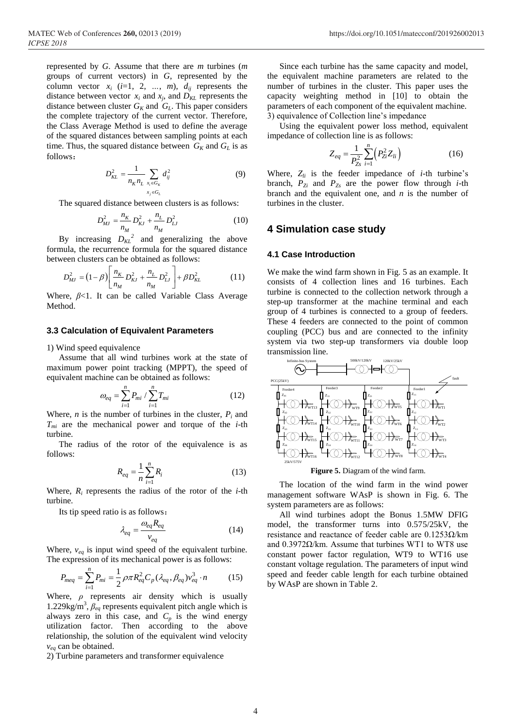represented by *G*. Assume that there are *m* turbines (*m* groups of current vectors) in *G*, represented by the column vector  $x_i$  ( $i=1, 2, ..., m$ ),  $d_{ij}$  represents the distance between vector  $x_i$  and  $x_j$ , and  $D_{KL}$  represents the distance between cluster  $G_K$  and  $G_L$ . This paper considers the complete trajectory of the current vector. Therefore, the Class Average Method is used to define the average of the squared distances between sampling points at each time. Thus, the squared distance between  $G_K$  and  $G_L$  is as follows:

$$
D_{KL}^2 = \frac{1}{n_K n_L} \sum_{\substack{x_i \in G_K \\ x_j \in G_L}} d_{ij}^2
$$
 (9)

The squared distance between clusters is as follows:

$$
D_{MJ}^2 = \frac{n_K}{n_M} D_{KJ}^2 + \frac{n_L}{n_M} D_{LJ}^2
$$
 (10)

By increasing  $D_{KL}^2$  and generalizing the above formula, the recurrence formula for the squared distance between clusters can be obtained as follows:

$$
D_{MJ}^{2} = (1 - \beta) \left[ \frac{n_K}{n_M} D_{KJ}^{2} + \frac{n_L}{n_M} D_{LJ}^{2} \right] + \beta D_{KL}^{2}
$$
 (11)

Where, *β*<1. It can be called Variable Class Average Method.

#### **3.3 Calculation of Equivalent Parameters**

1) Wind speed equivalence

Assume that all wind turbines work at the state of maximum power point tracking (MPPT), the speed of equivalent machine can be obtained as follows:

$$
\omega_{eq} = \sum_{i=1}^{n} P_{mi} / \sum_{i=1}^{n} T_{mi}
$$
 (12)

Where, *n* is the number of turbines in the cluster,  $P_i$  and *Tmi* are the mechanical power and torque of the *i*-th turbine.

The radius of the rotor of the equivalence is as follows:

$$
R_{eq} = \frac{1}{n} \sum_{i=1}^{n} R_i
$$
 (13)

Where,  $R_i$  represents the radius of the rotor of the *i*-th turbine.

Its tip speed ratio is as follows:

$$
\lambda_{eq} = \frac{\omega_{eq} R_{eq}}{v_{eq}} \tag{14}
$$

Where, *veq* is input wind speed of the equivalent turbine. The expression of its mechanical power is as follows:

$$
P_{meq} = \sum_{i=1}^{n} P_{mi} = \frac{1}{2} \rho \pi R_{eq}^2 C_p (\lambda_{eq}, \beta_{eq}) v_{eq}^3 \cdot n
$$
 (15)

Where, *ρ* represents air density which is usually 1.229kg/m<sup>3</sup> , *βeq* represents equivalent pitch angle which is always zero in this case, and  $C_p$  is the wind energy utilization factor. Then according to the above relationship, the solution of the equivalent wind velocity *veq* can be obtained.

2) Turbine parameters and transformer equivalence

Since each turbine has the same capacity and model, the equivalent machine parameters are related to the number of turbines in the cluster. This paper uses the capacity weighting method in [10] to obtain the parameters of each component of the equivalent machine. 3) equivalence of Collection line's impedance

Using the equivalent power loss method, equivalent impedance of collection line is as follows:

$$
Z_{eq} = \frac{1}{P_{Zs}^2} \sum_{i=1}^n \left( P_{Zi}^2 Z_{li} \right) \tag{16}
$$

Where,  $Z_{li}$  is the feeder impedance of *i*-th turbine's branch,  $P_{Zi}$  and  $P_{Zs}$  are the power flow through *i*-th branch and the equivalent one, and *n* is the number of turbines in the cluster.

#### **4 Simulation case study**

#### **4.1 Case Introduction**

We make the wind farm shown in Fig. 5 as an example. It consists of 4 collection lines and 16 turbines. Each turbine is connected to the collection network through a step-up transformer at the machine terminal and each group of 4 turbines is connected to a group of feeders. These 4 feeders are connected to the point of common coupling (PCC) bus and are connected to the infinity system via two step-up transformers via double loop transmission line.



**Figure 5.** Diagram of the wind farm.

The location of the wind farm in the wind power management software WAsP is shown in Fig. 6. The system parameters are as follows:

All wind turbines adopt the Bonus 1.5MW DFIG model, the transformer turns into 0.575/25kV, the resistance and reactance of feeder cable are 0.1253Ω/km and  $0.3972\Omega/km$ . Assume that turbines WT1 to WT8 use constant power factor regulation, WT9 to WT16 use constant voltage regulation. The parameters of input wind speed and feeder cable length for each turbine obtained by WAsP are shown in Table 2.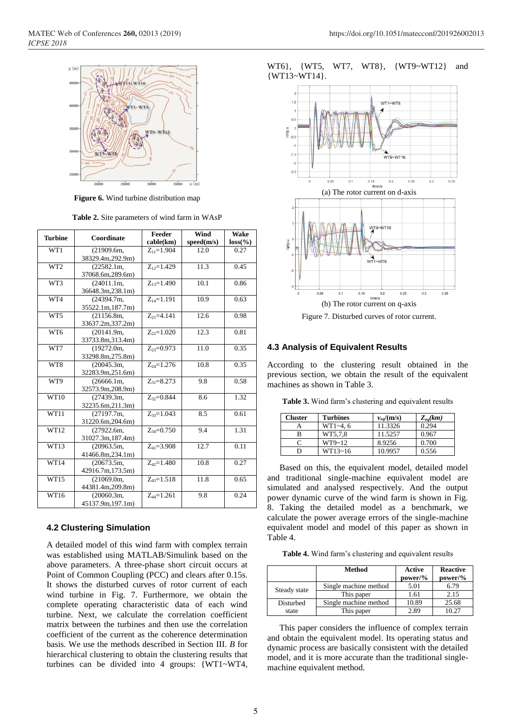

**Figure 6.** Wind turbine distribution map

**Table 2.** Site parameters of wind farm in WAsP

| <b>Turbine</b>  | Coordinate        | Feeder           | Wind       | <b>Wake</b> |
|-----------------|-------------------|------------------|------------|-------------|
|                 |                   | cable(km)        | speed(m/s) | $loss(\% )$ |
| WT1             | (21909.6m,        | $Z_{11} = 1.904$ | 12.0       | 0.27        |
|                 | 38329.4m,292.9m)  |                  |            |             |
| WT <sub>2</sub> | (22582.1m,        | $Z_{12}=1.429$   | 11.3       | 0.45        |
|                 | 37068.6m,289.6m)  |                  |            |             |
| WT3             | (24011.1m,        | $Z_{13}=1.490$   | 10.1       | 0.86        |
|                 | 36648.3m, 238.1m) |                  |            |             |
| WT <sub>4</sub> | (24394.7m,        | $Z_{14}=1.191$   | 10.9       | 0.63        |
|                 | 35522.1m, 187.7m) |                  |            |             |
| WT5             | (21156.8m.        | $Z_{21} = 4.141$ | 12.6       | 0.98        |
|                 | 33637.2m, 337.2m) |                  |            |             |
| WT6             | (20141.9m,        | $Z_{22}=1.020$   | 12.3       | 0.81        |
|                 | 33733.8m, 313.4m) |                  |            |             |
| WT7             | (19272.0m,        | $Z_{23} = 0.973$ | 11.0       | 0.35        |
|                 | 33298.8m, 275.8m) |                  |            |             |
| WT8             | (20045.3m.        | $Z_{24} = 1.276$ | 10.8       | 0.35        |
|                 | 32283.9m,251.6m)  |                  |            |             |
| WT9             | (26666.1m,        | $Z_{31} = 8.273$ | 9.8        | 0.58        |
|                 | 32573.9m,208.9m)  |                  |            |             |
| WT10            | (27439.3m.        | $Z_{32}=0.844$   | 8.6        | 1.32        |
|                 | 32235.6m, 211.3m) |                  |            |             |
| WT11            | (27197.7m,        | $Z_{33} = 1.043$ | 8.5        | 0.61        |
|                 | 31220.6m, 204.6m) |                  |            |             |
| WT12            | (27922.6m,        | $Z_{34} = 0.750$ | 9.4        | 1.31        |
|                 | 31027.3m, 187.4m) |                  |            |             |
| WT13            | (20963.5m,        | $Z_{41} = 3.908$ | 12.7       | 0.11        |
|                 | 41466.8m,234.1m)  |                  |            |             |
| WT14            | (20673.5m,        | $Z_{42}=1.480$   | 10.8       | 0.27        |
|                 | 42916.7m,173.5m)  |                  |            |             |
| WT15            | (21069.0m,        | $Z_{43} = 1.518$ | 11.8       | 0.65        |
|                 | 44381.4m,209.8m)  |                  |            |             |
| WT16            | (20060.3m,        | $Z_{44} = 1.261$ | 9.8        | 0.24        |
|                 | 45137.9m, 197.1m) |                  |            |             |

#### **4.2 Clustering Simulation**

A detailed model of this wind farm with complex terrain was established using MATLAB/Simulink based on the above parameters. A three-phase short circuit occurs at Point of Common Coupling (PCC) and clears after 0.15s. It shows the disturbed curves of rotor current of each wind turbine in Fig. 7. Furthermore, we obtain the complete operating characteristic data of each wind turbine. Next, we calculate the correlation coefficient matrix between the turbines and then use the correlation coefficient of the current as the coherence determination basis. We use the methods described in Section III. *B* for hierarchical clustering to obtain the clustering results that turbines can be divided into 4 groups: {WT1~WT4,

WT6}, {WT5, WT7, WT8}, {WT9~WT12} and {WT13~WT14}.



Figure 7. Disturbed curves of rotor current.

#### **4.3 Analysis of Equivalent Results**

According to the clustering result obtained in the previous section, we obtain the result of the equivalent machines as shown in Table 3.

**Table 3.** Wind farm's clustering and equivalent results

| <b>Cluster</b> | <b>Turbines</b> | $v_{ea}/(m/s)$ | $Z_{eq}(km)$ |
|----------------|-----------------|----------------|--------------|
|                | $WT1 - 4.6$     | 11.3326        | 0.294        |
|                | WT5.7.8         | 11.5257        | 0.967        |
|                | WT9~12          | 8.9256         | 0.700        |
|                | $WT13 - 16$     | 10.9957        | 0.556        |

Based on this, the equivalent model, detailed model and traditional single-machine equivalent model are simulated and analysed respectively. And the output power dynamic curve of the wind farm is shown in Fig. 8. Taking the detailed model as a benchmark, we calculate the power average errors of the single-machine equivalent model and model of this paper as shown in Table 4.

**Table 4.** Wind farm's clustering and equivalent results

|              | <b>Method</b>         | Active<br>$power/\%$ | <b>Reactive</b><br>$power\frac{9}{6}$ |
|--------------|-----------------------|----------------------|---------------------------------------|
| Steady state | Single machine method | 5.01                 | 6.79                                  |
|              | This paper            | 1.61                 | 2.15                                  |
| Disturbed    | Single machine method | 10.89                | 25.68                                 |
| state        | This paper            | 2.89                 | 10.27                                 |

This paper considers the influence of complex terrain and obtain the equivalent model. Its operating status and dynamic process are basically consistent with the detailed model, and it is more accurate than the traditional singlemachine equivalent method.